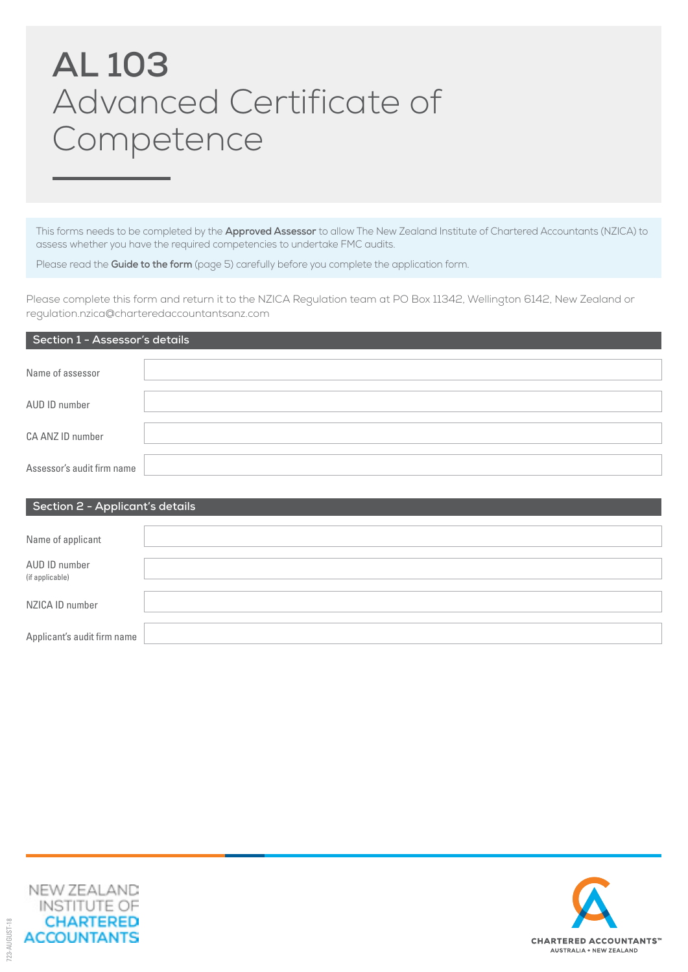# **AL 103** Advanced Certificate of Competence

This forms needs to be completed by the **Approved Assessor** to allow The New Zealand Institute of Chartered Accountants (NZICA) to assess whether you have the required competencies to undertake FMC audits.

Please read the **Guide to the form** (page 5) carefully before you complete the application form.

Please complete this form and return it to the NZICA Regulation team at PO Box 11342, Wellington 6142, New Zealand or regulation.nzica@charteredaccountantsanz.com

| Section 1 - Assessor's details |  |  |  |  |
|--------------------------------|--|--|--|--|
| Name of assessor               |  |  |  |  |
| AUD ID number                  |  |  |  |  |
| CA ANZ ID number               |  |  |  |  |
| Assessor's audit firm name     |  |  |  |  |
|                                |  |  |  |  |

| $\frac{1}{2}$                    |  |  |  |
|----------------------------------|--|--|--|
|                                  |  |  |  |
| Name of applicant                |  |  |  |
| AUD ID number<br>(if applicable) |  |  |  |
| NZICA ID number                  |  |  |  |
| Applicant's audit firm name      |  |  |  |



**Section 2 - Applicant's details**

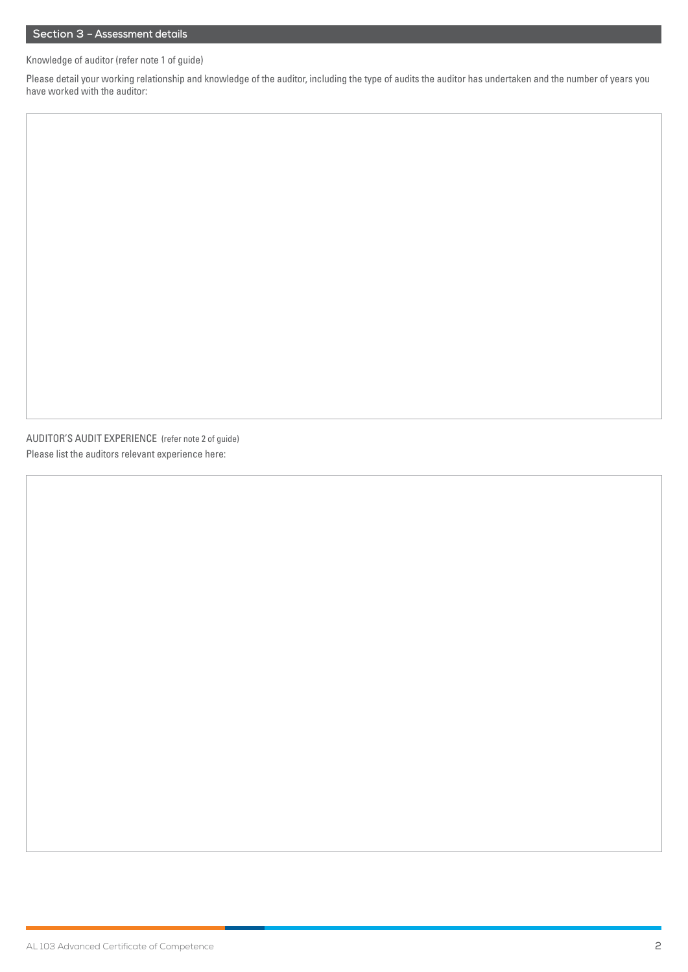## **Section 3 – Assessment details**

Knowledge of auditor (refer note 1 of guide)

Please detail your working relationship and knowledge of the auditor, including the type of audits the auditor has undertaken and the number of years you have worked with the auditor:

AUDITOR'S AUDIT EXPERIENCE (refer note 2 of guide) Please list the auditors relevant experience here: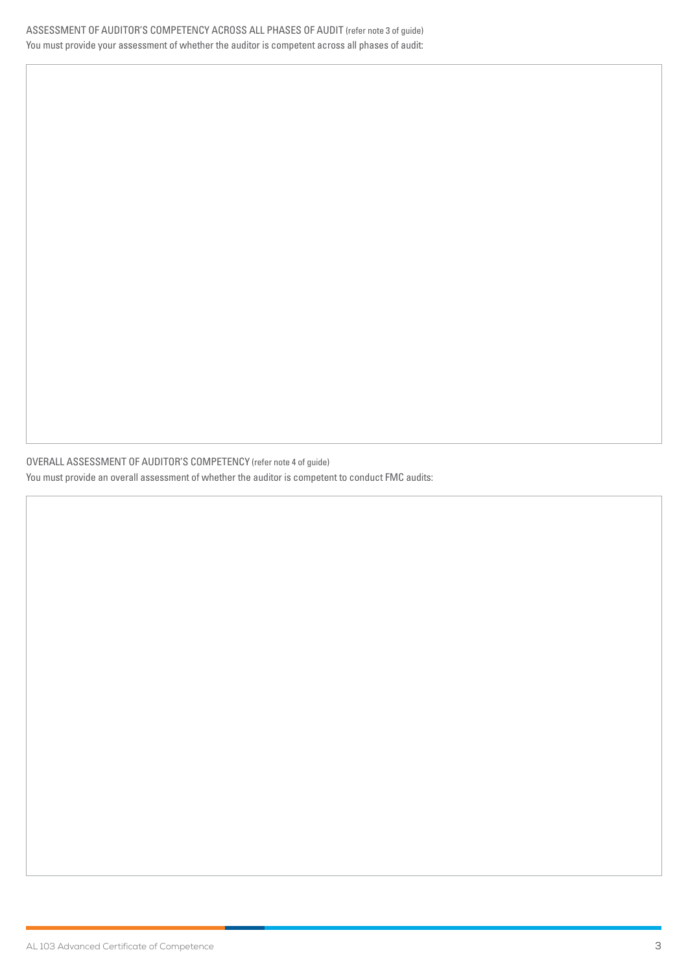OVERALL ASSESSMENT OF AUDITOR'S COMPETENCY (refer note 4 of guide) You must provide an overall assessment of whether the auditor is competent to conduct FMC audits: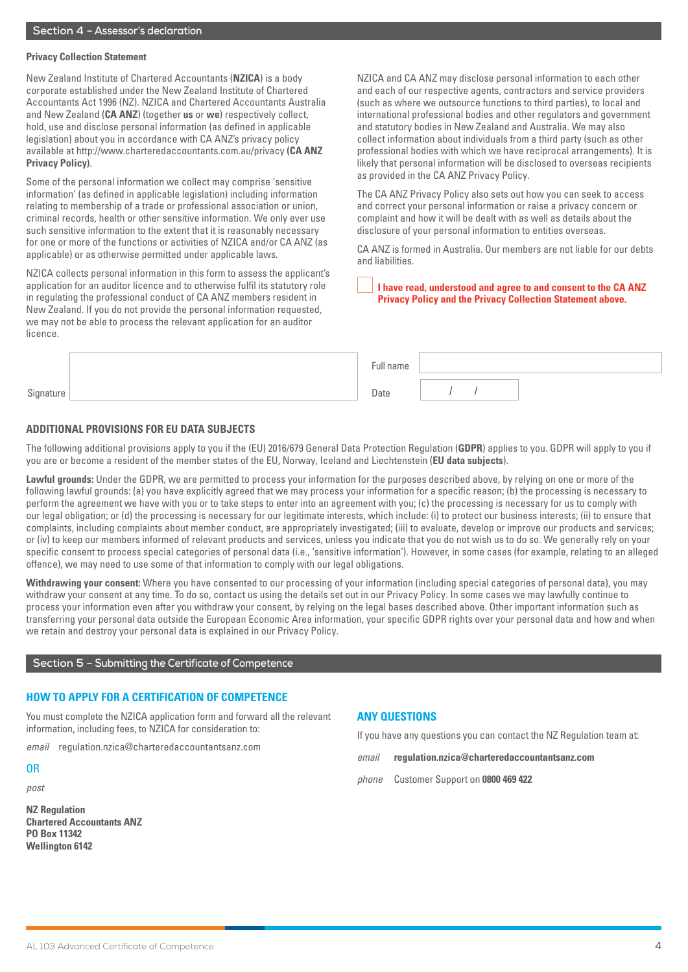#### **Privacy Collection Statement**

New Zealand Institute of Chartered Accountants (**NZICA**) is a body corporate established under the New Zealand Institute of Chartered Accountants Act 1996 (NZ). NZICA and Chartered Accountants Australia and New Zealand (**CA ANZ**) (together **us** or **we**) respectively collect, hold, use and disclose personal information (as defined in applicable legislation) about you in accordance with CA ANZ's privacy policy available at http://www.charteredaccountants.com.au/privacy **(CA ANZ Privacy Policy)**.

Some of the personal information we collect may comprise 'sensitive information' (as defined in applicable legislation) including information relating to membership of a trade or professional association or union, criminal records, health or other sensitive information. We only ever use such sensitive information to the extent that it is reasonably necessary for one or more of the functions or activities of NZICA and/or CA ANZ (as applicable) or as otherwise permitted under applicable laws.

NZICA collects personal information in this form to assess the applicant's application for an auditor licence and to otherwise fulfil its statutory role in regulating the professional conduct of CA ANZ members resident in New Zealand. If you do not provide the personal information requested, we may not be able to process the relevant application for an auditor licence.

NZICA and CA ANZ may disclose personal information to each other and each of our respective agents, contractors and service providers (such as where we outsource functions to third parties), to local and international professional bodies and other regulators and government and statutory bodies in New Zealand and Australia. We may also collect information about individuals from a third party (such as other professional bodies with which we have reciprocal arrangements). It is likely that personal information will be disclosed to overseas recipients as provided in the CA ANZ Privacy Policy.

The CA ANZ Privacy Policy also sets out how you can seek to access and correct your personal information or raise a privacy concern or complaint and how it will be dealt with as well as details about the disclosure of your personal information to entities overseas.

CA ANZ is formed in Australia. Our members are not liable for our debts and liabilities.

#### **I have read, understood and agree to and consent to the CA ANZ Privacy Policy and the Privacy Collection Statement above.**

|                     | $n \cdot m$<br>11 I I C |  |
|---------------------|-------------------------|--|
| $\sim$<br>Signature | Date                    |  |

#### **ADDITIONAL PROVISIONS FOR EU DATA SUBJECTS**

The following additional provisions apply to you if the (EU) 2016/679 General Data Protection Regulation (**GDPR**) applies to you. GDPR will apply to you if you are or become a resident of the member states of the EU, Norway, Iceland and Liechtenstein (**EU data subjects**).

**Lawful grounds:** Under the GDPR, we are permitted to process your information for the purposes described above, by relying on one or more of the following lawful grounds: (a) you have explicitly agreed that we may process your information for a specific reason; (b) the processing is necessary to perform the agreement we have with you or to take steps to enter into an agreement with you; (c) the processing is necessary for us to comply with our legal obligation; or (d) the processing is necessary for our legitimate interests, which include: (i) to protect our business interests; (ii) to ensure that complaints, including complaints about member conduct, are appropriately investigated; (iii) to evaluate, develop or improve our products and services; or (iv) to keep our members informed of relevant products and services, unless you indicate that you do not wish us to do so. We generally rely on your specific consent to process special categories of personal data (i.e., 'sensitive information'). However, in some cases (for example, relating to an alleged offence), we may need to use some of that information to comply with our legal obligations.

**Withdrawing your consent:** Where you have consented to our processing of your information (including special categories of personal data), you may withdraw your consent at any time. To do so, contact us using the details set out in our Privacy Policy. In some cases we may lawfully continue to process your information even after you withdraw your consent, by relying on the legal bases described above. Other important information such as transferring your personal data outside the European Economic Area information, your specific GDPR rights over your personal data and how and when we retain and destroy your personal data is explained in our Privacy Policy.

## **Section 5 – Submitting the Certificate of Competence**

#### **HOW TO APPLY FOR A CERTIFICATION OF COMPETENCE**

You must complete the NZICA application form and forward all the relevant information, including fees, to NZICA for consideration to:

*email* regulation.nzica@charteredaccountantsanz.com

## OR

*post*

**NZ Regulation Chartered Accountants ANZ PO Box 11342 Wellington 6142**

#### **ANY QUESTIONS**

If you have any questions you can contact the NZ Regulation team at:

*email* **regulation.nzica@charteredaccountantsanz.com**

*phone* Customer Support on **0800 469 422**